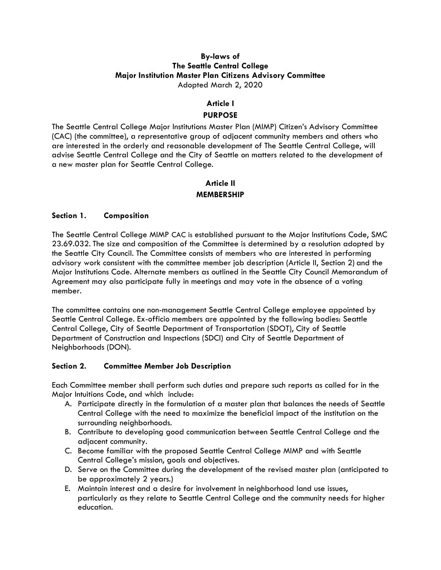#### By-laws of The Seattle Central College Major Institution Master Plan Citizens Advisory Committee Adopted March 2, 2020

## Article I

## PURPOSE

The Seattle Central College Major Institutions Master Plan (MIMP) Citizen's Advisory Committee (CAC) (the committee), a representative group of adjacent community members and others who are interested in the orderly and reasonable development of The Seattle Central College, will advise Seattle Central College and the City of Seattle on matters related to the development of a new master plan for Seattle Central College.

## Article II

## MEMBERSHIP

#### Section 1. Composition

The Seattle Central College MIMP CAC is established pursuant to the Major Institutions Code, SMC 23.69.032. The size and composition of the Committee is determined by a resolution adopted by the Seattle City Council. The Committee consists of members who are interested in performing advisory work consistent with the committee member job description (Article II, Section 2) and the Major Institutions Code. Alternate members as outlined in the Seattle City Council Memorandum of Agreement may also participate fully in meetings and may vote in the absence of a voting member.

The committee contains one non-management Seattle Central College employee appointed by Seattle Central College. Ex-officio members are appointed by the following bodies: Seattle Central College, City of Seattle Department of Transportation (SDOT), City of Seattle Department of Construction and Inspections (SDCI) and City of Seattle Department of Neighborhoods (DON).

#### Section 2. Committee Member Job Description

Each Committee member shall perform such duties and prepare such reports as called for in the Major Intuitions Code, and which include:

- A. Participate directly in the formulation of a master plan that balances the needs of Seattle Central College with the need to maximize the beneficial impact of the institution on the surrounding neighborhoods.
- B. Contribute to developing good communication between Seattle Central College and the adjacent community.
- C. Become familiar with the proposed Seattle Central College MIMP and with Seattle Central College's mission, goals and objectives.
- D. Serve on the Committee during the development of the revised master plan (anticipated to be approximately 2 years.)
- E. Maintain interest and a desire for involvement in neighborhood land use issues, particularly as they relate to Seattle Central College and the community needs for higher education.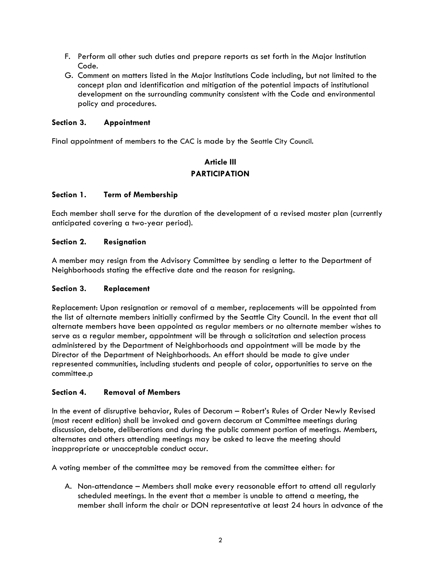- F. Perform all other such duties and prepare reports as set forth in the Major Institution Code.
- G. Comment on matters listed in the Major Institutions Code including, but not limited to the concept plan and identification and mitigation of the potential impacts of institutional development on the surrounding community consistent with the Code and environmental policy and procedures.

## Section 3. Appointment

Final appointment of members to the CAC is made by the Seattle City Council.

## Article III PARTICIPATION

## Section 1. Term of Membership

Each member shall serve for the duration of the development of a revised master plan (currently anticipated covering a two-year period).

## Section 2. Resignation

A member may resign from the Advisory Committee by sending a letter to the Department of Neighborhoods stating the effective date and the reason for resigning.

#### Section 3. Replacement

Replacement: Upon resignation or removal of a member, replacements will be appointed from the list of alternate members initially confirmed by the Seattle City Council. In the event that all alternate members have been appointed as regular members or no alternate member wishes to serve as a regular member, appointment will be through a solicitation and selection process administered by the Department of Neighborhoods and appointment will be made by the Director of the Department of Neighborhoods. An effort should be made to give under represented communities, including students and people of color, opportunities to serve on the committee.p

#### Section 4. Removal of Members

In the event of disruptive behavior, Rules of Decorum – Robert's Rules of Order Newly Revised (most recent edition) shall be invoked and govern decorum at Committee meetings during discussion, debate, deliberations and during the public comment portion of meetings. Members, alternates and others attending meetings may be asked to leave the meeting should inappropriate or unacceptable conduct occur.

A voting member of the committee may be removed from the committee either: for

A. Non-attendance – Members shall make every reasonable effort to attend all regularly scheduled meetings. In the event that a member is unable to attend a meeting, the member shall inform the chair or DON representative at least 24 hours in advance of the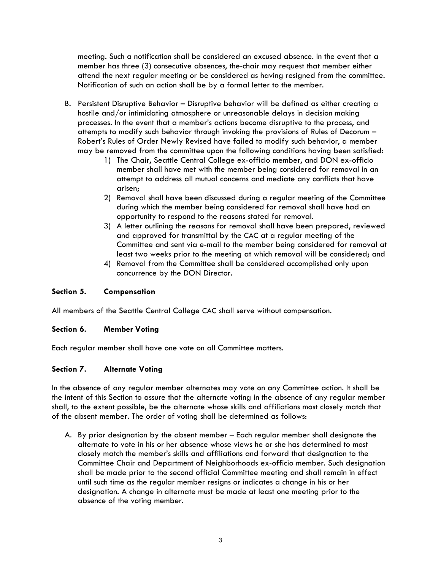meeting. Such a notification shall be considered an excused absence. In the event that a member has three (3) consecutive absences, the-chair may request that member either attend the next regular meeting or be considered as having resigned from the committee. Notification of such an action shall be by a formal letter to the member.

- B. Persistent Disruptive Behavior Disruptive behavior will be defined as either creating a hostile and/or intimidating atmosphere or unreasonable delays in decision making processes. In the event that a member's actions become disruptive to the process, and attempts to modify such behavior through invoking the provisions of Rules of Decorum – Robert's Rules of Order Newly Revised have failed to modify such behavior, a member may be removed from the committee upon the following conditions having been satisfied:
	- 1) The Chair, Seattle Central College ex-officio member, and DON ex-officio member shall have met with the member being considered for removal in an attempt to address all mutual concerns and mediate any conflicts that have arisen;
	- 2) Removal shall have been discussed during a regular meeting of the Committee during which the member being considered for removal shall have had an opportunity to respond to the reasons stated for removal.
	- 3) A letter outlining the reasons for removal shall have been prepared, reviewed and approved for transmittal by the CAC at a regular meeting of the Committee and sent via e-mail to the member being considered for removal at least two weeks prior to the meeting at which removal will be considered; and
	- 4) Removal from the Committee shall be considered accomplished only upon concurrence by the DON Director.

## Section 5. Compensation

All members of the Seattle Central College CAC shall serve without compensation.

#### Section 6. Member Voting

Each regular member shall have one vote on all Committee matters.

#### Section 7. Alternate Voting

In the absence of any regular member alternates may vote on any Committee action. It shall be the intent of this Section to assure that the alternate voting in the absence of any regular member shall, to the extent possible, be the alternate whose skills and affiliations most closely match that of the absent member. The order of voting shall be determined as follows:

A. By prior designation by the absent member – Each regular member shall designate the alternate to vote in his or her absence whose views he or she has determined to most closely match the member's skills and affiliations and forward that designation to the Committee Chair and Department of Neighborhoods ex-officio member. Such designation shall be made prior to the second official Committee meeting and shall remain in effect until such time as the regular member resigns or indicates a change in his or her designation. A change in alternate must be made at least one meeting prior to the absence of the voting member.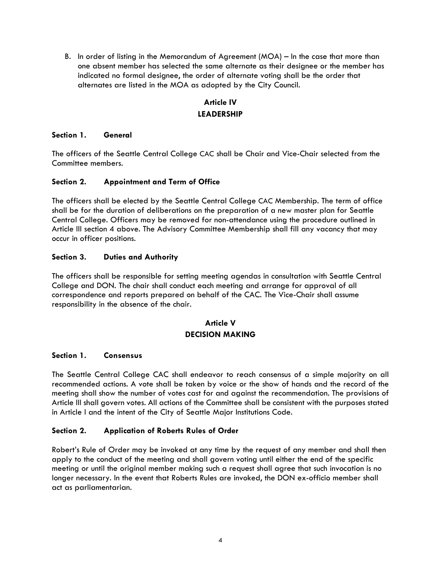B. In order of listing in the Memorandum of Agreement (MOA) – In the case that more than one absent member has selected the same alternate as their designee or the member has indicated no formal designee, the order of alternate voting shall be the order that alternates are listed in the MOA as adopted by the City Council.

# Article IV LEADERSHIP

## Section 1. General

The officers of the Seattle Central College CAC shall be Chair and Vice-Chair selected from the Committee members.

## Section 2. Appointment and Term of Office

The officers shall be elected by the Seattle Central College CAC Membership. The term of office shall be for the duration of deliberations on the preparation of a new master plan for Seattle Central College. Officers may be removed for non-attendance using the procedure outlined in Article III section 4 above. The Advisory Committee Membership shall fill any vacancy that may occur in officer positions.

## Section 3. Duties and Authority

The officers shall be responsible for setting meeting agendas in consultation with Seattle Central College and DON. The chair shall conduct each meeting and arrange for approval of all correspondence and reports prepared on behalf of the CAC. The Vice-Chair shall assume responsibility in the absence of the chair.

## Article V DECISION MAKING

#### Section 1. Consensus

The Seattle Central College CAC shall endeavor to reach consensus of a simple majority on all recommended actions. A vote shall be taken by voice or the show of hands and the record of the meeting shall show the number of votes cast for and against the recommendation. The provisions of Article III shall govern votes. All actions of the Committee shall be consistent with the purposes stated in Article I and the intent of the City of Seattle Major Institutions Code.

#### Section 2. Application of Roberts Rules of Order

Robert's Rule of Order may be invoked at any time by the request of any member and shall then apply to the conduct of the meeting and shall govern voting until either the end of the specific meeting or until the original member making such a request shall agree that such invocation is no longer necessary. In the event that Roberts Rules are invoked, the DON ex-officio member shall act as parliamentarian.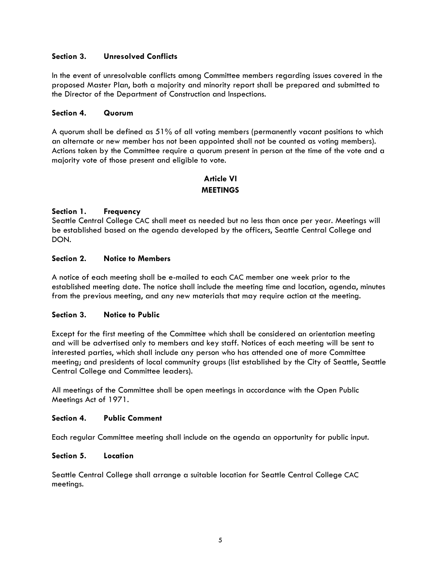## Section 3. Unresolved Conflicts

In the event of unresolvable conflicts among Committee members regarding issues covered in the proposed Master Plan, both a majority and minority report shall be prepared and submitted to the Director of the Department of Construction and Inspections.

#### Section 4. Quorum

A quorum shall be defined as 51% of all voting members (permanently vacant positions to which an alternate or new member has not been appointed shall not be counted as voting members). Actions taken by the Committee require a quorum present in person at the time of the vote and a majority vote of those present and eligible to vote.

## Article VI **MEETINGS**

#### Section 1. Frequency

Seattle Central College CAC shall meet as needed but no less than once per year. Meetings will be established based on the agenda developed by the officers, Seattle Central College and DON.

#### Section 2. Notice to Members

A notice of each meeting shall be e-mailed to each CAC member one week prior to the established meeting date. The notice shall include the meeting time and location, agenda, minutes from the previous meeting, and any new materials that may require action at the meeting.

#### Section 3. Notice to Public

Except for the first meeting of the Committee which shall be considered an orientation meeting and will be advertised only to members and key staff. Notices of each meeting will be sent to interested parties, which shall include any person who has attended one of more Committee meeting; and presidents of local community groups (list established by the City of Seattle, Seattle Central College and Committee leaders).

All meetings of the Committee shall be open meetings in accordance with the Open Public Meetings Act of 1971.

#### Section 4. Public Comment

Each regular Committee meeting shall include on the agenda an opportunity for public input.

#### Section 5. Location

Seattle Central College shall arrange a suitable location for Seattle Central College CAC meetings.